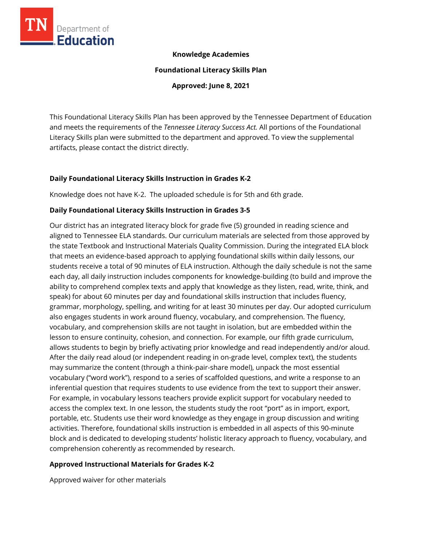

### **Knowledge Academies**

**Foundational Literacy Skills Plan**

**Approved: June 8, 2021**

This Foundational Literacy Skills Plan has been approved by the Tennessee Department of Education and meets the requirements of the *Tennessee Literacy Success Act.* All portions of the Foundational Literacy Skills plan were submitted to the department and approved. To view the supplemental artifacts, please contact the district directly.

## **Daily Foundational Literacy Skills Instruction in Grades K-2**

Knowledge does not have K-2. The uploaded schedule is for 5th and 6th grade.

### **Daily Foundational Literacy Skills Instruction in Grades 3-5**

Our district has an integrated literacy block for grade five (5) grounded in reading science and aligned to Tennessee ELA standards. Our curriculum materials are selected from those approved by the state Textbook and Instructional Materials Quality Commission. During the integrated ELA block that meets an evidence-based approach to applying foundational skills within daily lessons, our students receive a total of 90 minutes of ELA instruction. Although the daily schedule is not the same each day, all daily instruction includes components for knowledge-building (to build and improve the ability to comprehend complex texts and apply that knowledge as they listen, read, write, think, and speak) for about 60 minutes per day and foundational skills instruction that includes fluency, grammar, morphology, spelling, and writing for at least 30 minutes per day. Our adopted curriculum also engages students in work around fluency, vocabulary, and comprehension. The fluency, vocabulary, and comprehension skills are not taught in isolation, but are embedded within the lesson to ensure continuity, cohesion, and connection. For example, our fifth grade curriculum, allows students to begin by briefly activating prior knowledge and read independently and/or aloud. After the daily read aloud (or independent reading in on-grade level, complex text), the students may summarize the content (through a think-pair-share model), unpack the most essential vocabulary ("word work"), respond to a series of scaffolded questions, and write a response to an inferential question that requires students to use evidence from the text to support their answer. For example, in vocabulary lessons teachers provide explicit support for vocabulary needed to access the complex text. In one lesson, the students study the root "port" as in import, export, portable, etc. Students use their word knowledge as they engage in group discussion and writing activities. Therefore, foundational skills instruction is embedded in all aspects of this 90-minute block and is dedicated to developing students' holistic literacy approach to fluency, vocabulary, and comprehension coherently as recommended by research.

## **Approved Instructional Materials for Grades K-2**

Approved waiver for other materials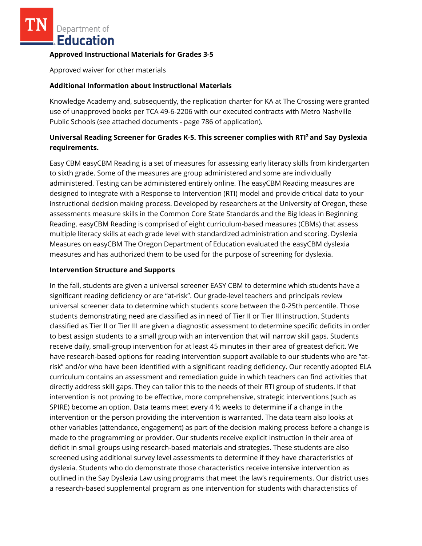Department of **Education** 

### **Approved Instructional Materials for Grades 3-5**

Approved waiver for other materials

## **Additional Information about Instructional Materials**

Knowledge Academy and, subsequently, the replication charter for KA at The Crossing were granted use of unapproved books per TCA 49-6-2206 with our executed contracts with Metro Nashville Public Schools (see attached documents - page 786 of application).

# **Universal Reading Screener for Grades K-5. This screener complies with RTI<sup>2</sup>and Say Dyslexia requirements.**

Easy CBM easyCBM Reading is a set of measures for assessing early literacy skills from kindergarten to sixth grade. Some of the measures are group administered and some are individually administered. Testing can be administered entirely online. The easyCBM Reading measures are designed to integrate with a Response to Intervention (RTI) model and provide critical data to your instructional decision making process. Developed by researchers at the University of Oregon, these assessments measure skills in the Common Core State Standards and the Big Ideas in Beginning Reading. easyCBM Reading is comprised of eight curriculum-based measures (CBMs) that assess multiple literacy skills at each grade level with standardized administration and scoring. Dyslexia Measures on easyCBM The Oregon Department of Education evaluated the easyCBM dyslexia measures and has authorized them to be used for the purpose of screening for dyslexia.

### **Intervention Structure and Supports**

In the fall, students are given a universal screener EASY CBM to determine which students have a significant reading deficiency or are "at-risk". Our grade-level teachers and principals review universal screener data to determine which students score between the 0-25th percentile. Those students demonstrating need are classified as in need of Tier II or Tier III instruction. Students classified as Tier II or Tier III are given a diagnostic assessment to determine specific deficits in order to best assign students to a small group with an intervention that will narrow skill gaps. Students receive daily, small-group intervention for at least 45 minutes in their area of greatest deficit. We have research-based options for reading intervention support available to our students who are "atrisk" and/or who have been identified with a significant reading deficiency. Our recently adopted ELA curriculum contains an assessment and remediation guide in which teachers can find activities that directly address skill gaps. They can tailor this to the needs of their RTI group of students. If that intervention is not proving to be effective, more comprehensive, strategic interventions (such as SPIRE) become an option. Data teams meet every 4  $\frac{1}{2}$  weeks to determine if a change in the intervention or the person providing the intervention is warranted. The data team also looks at other variables (attendance, engagement) as part of the decision making process before a change is made to the programming or provider. Our students receive explicit instruction in their area of deficit in small groups using research-based materials and strategies. These students are also screened using additional survey level assessments to determine if they have characteristics of dyslexia. Students who do demonstrate those characteristics receive intensive intervention as outlined in the Say Dyslexia Law using programs that meet the law's requirements. Our district uses a research-based supplemental program as one intervention for students with characteristics of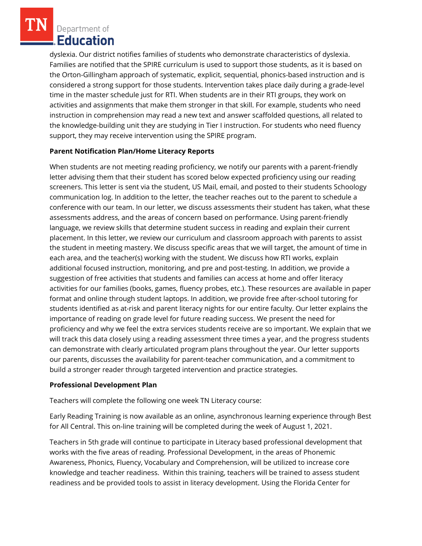Department of Education

dyslexia. Our district notifies families of students who demonstrate characteristics of dyslexia. Families are notified that the SPIRE curriculum is used to support those students, as it is based on the Orton-Gillingham approach of systematic, explicit, sequential, phonics-based instruction and is considered a strong support for those students. Intervention takes place daily during a grade-level time in the master schedule just for RTI. When students are in their RTI groups, they work on activities and assignments that make them stronger in that skill. For example, students who need instruction in comprehension may read a new text and answer scaffolded questions, all related to the knowledge-building unit they are studying in Tier I instruction. For students who need fluency support, they may receive intervention using the SPIRE program.

## **Parent Notification Plan/Home Literacy Reports**

When students are not meeting reading proficiency, we notify our parents with a parent-friendly letter advising them that their student has scored below expected proficiency using our reading screeners. This letter is sent via the student, US Mail, email, and posted to their students Schoology communication log. In addition to the letter, the teacher reaches out to the parent to schedule a conference with our team. In our letter, we discuss assessments their student has taken, what these assessments address, and the areas of concern based on performance. Using parent-friendly language, we review skills that determine student success in reading and explain their current placement. In this letter, we review our curriculum and classroom approach with parents to assist the student in meeting mastery. We discuss specific areas that we will target, the amount of time in each area, and the teacher(s) working with the student. We discuss how RTI works, explain additional focused instruction, monitoring, and pre and post-testing. In addition, we provide a suggestion of free activities that students and families can access at home and offer literacy activities for our families (books, games, fluency probes, etc.). These resources are available in paper format and online through student laptops. In addition, we provide free after-school tutoring for students identified as at-risk and parent literacy nights for our entire faculty. Our letter explains the importance of reading on grade level for future reading success. We present the need for proficiency and why we feel the extra services students receive are so important. We explain that we will track this data closely using a reading assessment three times a year, and the progress students can demonstrate with clearly articulated program plans throughout the year. Our letter supports our parents, discusses the availability for parent-teacher communication, and a commitment to build a stronger reader through targeted intervention and practice strategies.

## **Professional Development Plan**

Teachers will complete the following one week TN Literacy course:

Early Reading Training is now available as an online, asynchronous learning experience through Best for All Central. This on-line training will be completed during the week of August 1, 2021.

Teachers in 5th grade will continue to participate in Literacy based professional development that works with the five areas of reading. Professional Development, in the areas of Phonemic Awareness, Phonics, Fluency, Vocabulary and Comprehension, will be utilized to increase core knowledge and teacher readiness. Within this training, teachers will be trained to assess student readiness and be provided tools to assist in literacy development. Using the Florida Center for